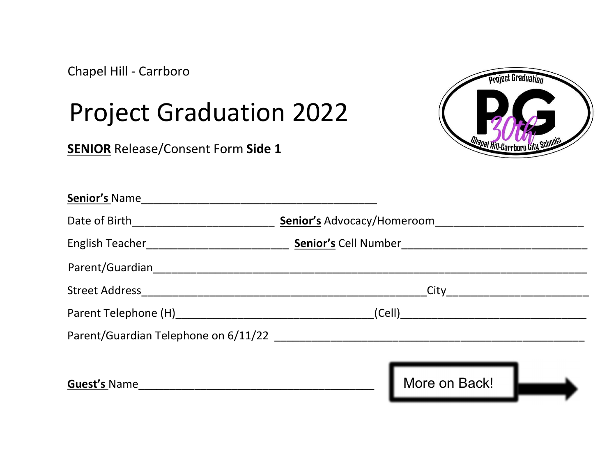Chapel Hill - Carrboro

## Project Graduation 2022

**SENIOR** Release/Consent Form Side 1



| <b>Senior's Name</b>                 |                            |
|--------------------------------------|----------------------------|
|                                      | Senior's Advocacy/Homeroom |
|                                      |                            |
|                                      |                            |
|                                      |                            |
|                                      |                            |
| Parent/Guardian Telephone on 6/11/22 |                            |
|                                      |                            |
|                                      | More on Back!              |